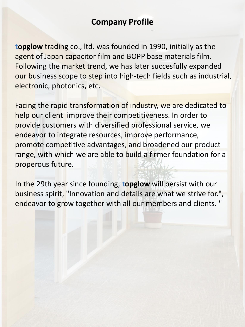## **Company Profile**

**topglow** trading co., ltd. was founded in 1990, initially as the agent of Japan capacitor film and BOPP base materials film. Following the market trend, we has later succesfully expanded our business scope to step into high-tech fields such as industrial, electronic, photonics, etc.

Facing the rapid transformation of industry, we are dedicated to help our client improve their competitiveness. In order to provide customers with diversified professional service, we endeavor to integrate resources, improve performance, promote competitive advantages, and broadened our product range, with which we are able to build a firmer foundation for a properous future.

In the 29th year since founding, **topglow** will persist with our business spirit, "Innovation and details are what we strive for.", endeavor to grow together with all our members and clients. "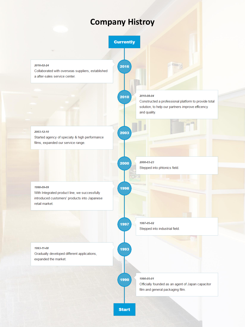### **Company Histroy**

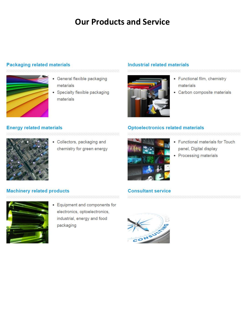## **Our Products and Service**

#### **Packaging related materials**

- General flexible packaging metarials
- · Specialty flexible packaging materials

#### Industrial related materials



- · Functional film, chemistry materials
- · Carbon composite materials

#### **Energy related materials**



• Collectors, packaging and chemistry for green energy

#### **Optoelectronics related materials**



- Functional materials for Touch panel, Digital display
- Processing materials

#### **Machinery related products**



• Equipment and components for electronics, optoelectronics, industrial, energy and food packaging

#### **Consultant service**

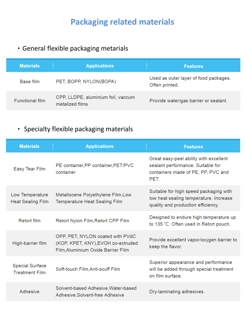# **Packaging related materials**

### ‧General flexible packaging metarials

| <b>Materials</b>       | <b>Applications</b>                                   | <b>Features</b>                                         |
|------------------------|-------------------------------------------------------|---------------------------------------------------------|
| Base film              | PET, BOPP, NYLON(BOPA)                                | Used as outer layer of food packages.<br>Often printed. |
| <b>Functional film</b> | CPP, LLDPE, aluminium foil, vaccum<br>metalized films | Provide water/gas barrier or sealant.                   |

### ‧ Specialty flexible packaging materials

| <b>Materials</b>                                | <b>Applications</b>                                                                                          | <b>Features</b>                                                                                                           |  |
|-------------------------------------------------|--------------------------------------------------------------------------------------------------------------|---------------------------------------------------------------------------------------------------------------------------|--|
| Easy Tear Film                                  | PE container, PP container, PET/PVC<br>container                                                             | Great easy-peel ability with excellent<br>sealant performance. Suitable for<br>containers made of PE, PP, PVC and<br>PET. |  |
| Low Temperature<br><b>Heat Sealing Film</b>     | Metallocene Polyethylene Film, Low<br><b>Temperature Heat Sealing Film</b>                                   | Suitable for high speed packaging with<br>low heat sealing temperature. Increase<br>quality and production efficiency.    |  |
| Retort film                                     | Retort Nylon Film, Retort CPP Film                                                                           | Designed to endure high temperature up<br>to 135 °C. Often used in Retort pouch.                                          |  |
| High-barrier film                               | OPP, PET, NYLON coated with PVdC<br>(KOP, KPET, KNY), EVOH co-extruded<br>Film, Aluminium Oxide Barrier Film | Provide excellent vapor/oxygen barrier to<br>keep the flavor.                                                             |  |
| <b>Special Surface</b><br><b>Treatment Film</b> | Soft-touch Film, Anti-scuff Film                                                                             | Superior appearance and performance<br>will be added through special treatment<br>on film surface.                        |  |
| Adhesive                                        | Solvent-based Adhesive, Water-based<br>Adhesive, Solvent-free Adhesive                                       | Dry-laminating adhesives.                                                                                                 |  |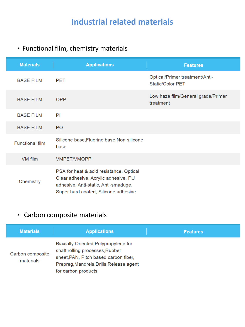# **Industrial related materials**

### ‧Functional film, chemistry materials

| <b>Materials</b>       | <b>Applications</b>                                                                                                                                             | <b>Features</b>                                           |  |
|------------------------|-----------------------------------------------------------------------------------------------------------------------------------------------------------------|-----------------------------------------------------------|--|
| <b>BASE FILM</b>       | <b>PET</b>                                                                                                                                                      | Optical/Primer treatment/Anti-<br><b>Static/Color PET</b> |  |
| <b>BASE FILM</b>       | <b>OPP</b>                                                                                                                                                      | Low haze film/General grade/Primer<br>treatment           |  |
| <b>BASE FILM</b>       | PI                                                                                                                                                              |                                                           |  |
| <b>BASE FILM</b>       | <b>PO</b>                                                                                                                                                       |                                                           |  |
| <b>Functional film</b> | Silicone base, Fluorine base, Non-silicone<br>base                                                                                                              |                                                           |  |
| VM film                | <b>VMPET/VMOPP</b>                                                                                                                                              |                                                           |  |
| Chemistry              | PSA for heat & acid resistance, Optical<br>Clear adhesive, Acrylic adhesive, PU<br>adhesive, Anti-static, Anti-smaduge,<br>Super hard coated, Silicone adhesive |                                                           |  |

### ‧ Carbon composite materials

| <b>Materials</b>              | <b>Applications</b>                                                                                                                                                                 | <b>Features</b> |
|-------------------------------|-------------------------------------------------------------------------------------------------------------------------------------------------------------------------------------|-----------------|
| Carbon composite<br>materials | Biaxially Oriented Polypropylene for<br>shaft rolling processes, Rubber<br>sheet, PAN, Pitch based carbon fiber,<br>Prepreg, Mandrels, Drills, Release agent<br>for carbon products |                 |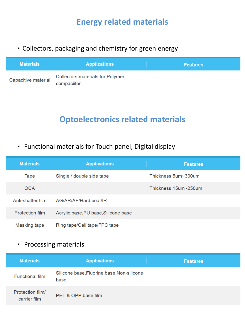## **Energy related materials**

‧Collectors, packaging and chemistry for green energy

| <b>Materials</b>    | <b>Applications</b>                                     | <b>Features</b> |
|---------------------|---------------------------------------------------------|-----------------|
| Capacitive material | <b>Collectors materials for Polymer</b><br>compaciitor. |                 |

# **Optoelectronics related materials**

‧ Functional materials for Touch panel, Digital display

| <b>Materials</b>       | <b>Applications</b>                  | <b>Features</b>      |
|------------------------|--------------------------------------|----------------------|
| Tape                   | Single / double side tape            | Thickness 5um~300um  |
| <b>OCA</b>             |                                      | Thickness 15um~250um |
| Anti-shatter film      | AG/AR/AF/Hard coat/IR                |                      |
| <b>Protection film</b> | Acrylic base, PU base, Silicone base |                      |
| Masking tape           | Ring tape/Cell tape/FPC tape         |                      |

#### ‧ Processing materials

| <b>Materials</b>                 | <b>Applications</b>                                | <b>Features</b> |
|----------------------------------|----------------------------------------------------|-----------------|
| <b>Functional film</b>           | Silicone base, Fluorine base, Non-silicone<br>base |                 |
| Protection film/<br>carrier film | PET & OPP base film                                |                 |